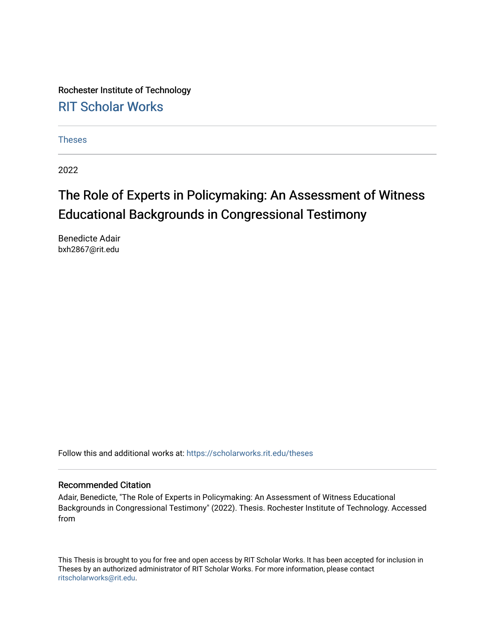Rochester Institute of Technology [RIT Scholar Works](https://scholarworks.rit.edu/)

[Theses](https://scholarworks.rit.edu/theses) 

2022

# The Role of Experts in Policymaking: An Assessment of Witness Educational Backgrounds in Congressional Testimony

Benedicte Adair bxh2867@rit.edu

Follow this and additional works at: [https://scholarworks.rit.edu/theses](https://scholarworks.rit.edu/theses?utm_source=scholarworks.rit.edu%2Ftheses%2F11107&utm_medium=PDF&utm_campaign=PDFCoverPages) 

#### Recommended Citation

Adair, Benedicte, "The Role of Experts in Policymaking: An Assessment of Witness Educational Backgrounds in Congressional Testimony" (2022). Thesis. Rochester Institute of Technology. Accessed from

This Thesis is brought to you for free and open access by RIT Scholar Works. It has been accepted for inclusion in Theses by an authorized administrator of RIT Scholar Works. For more information, please contact [ritscholarworks@rit.edu](mailto:ritscholarworks@rit.edu).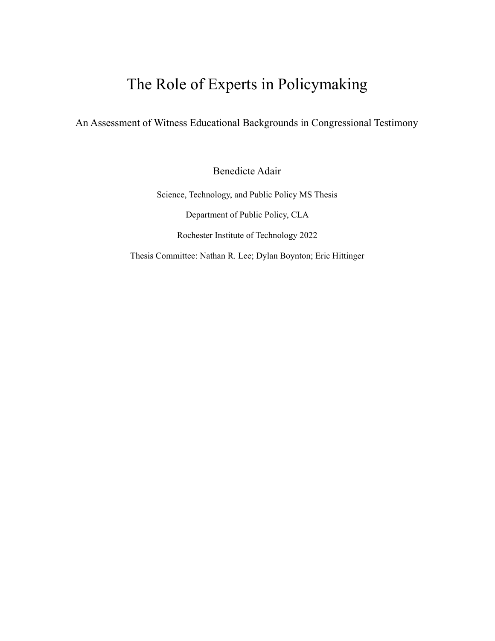# The Role of Experts in Policymaking

An Assessment of Witness Educational Backgrounds in Congressional Testimony

Benedicte Adair

Science, Technology, and Public Policy MS Thesis Department of Public Policy, CLA Rochester Institute of Technology 2022

Thesis Committee: Nathan R. Lee; Dylan Boynton; Eric Hittinger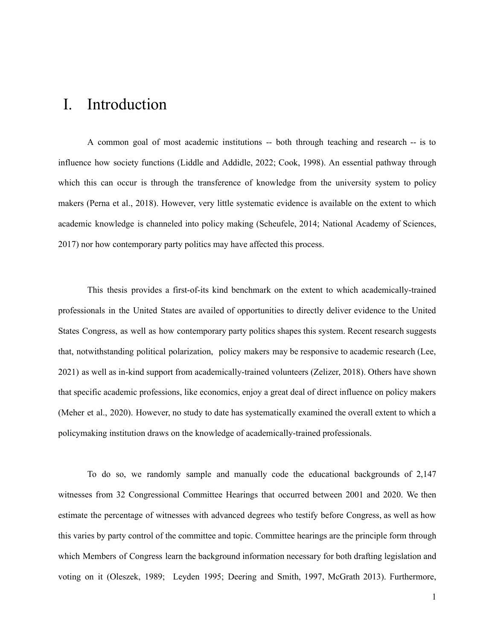# I. Introduction

A common goal of most academic institutions -- both through teaching and research -- is to influence how society functions (Liddle and Addidle, 2022; Cook, 1998). An essential pathway through which this can occur is through the transference of knowledge from the university system to policy makers (Perna et al., 2018). However, very little systematic evidence is available on the extent to which academic knowledge is channeled into policy making (Scheufele, 2014; National Academy of Sciences, 2017) nor how contemporary party politics may have affected this process.

This thesis provides a first-of-its kind benchmark on the extent to which academically-trained professionals in the United States are availed of opportunities to directly deliver evidence to the United States Congress, as well as how contemporary party politics shapes this system. Recent research suggests that, notwithstanding political polarization, policy makers may be responsive to academic research (Lee, 2021) as well as in-kind support from academically-trained volunteers (Zelizer, 2018). Others have shown that specific academic professions, like economics, enjoy a great deal of direct influence on policy makers (Meher et al., 2020). However, no study to date has systematically examined the overall extent to which a policymaking institution draws on the knowledge of academically-trained professionals.

To do so, we randomly sample and manually code the educational backgrounds of 2,147 witnesses from 32 Congressional Committee Hearings that occurred between 2001 and 2020. We then estimate the percentage of witnesses with advanced degrees who testify before Congress, as well as how this varies by party control of the committee and topic. Committee hearings are the principle form through which Members of Congress learn the background information necessary for both drafting legislation and voting on it (Oleszek, 1989; Leyden 1995; Deering and Smith, 1997, McGrath 2013). Furthermore,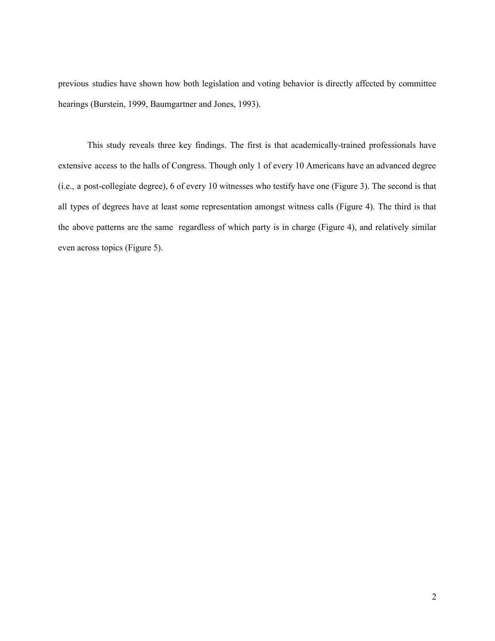previous studies have shown how both legislation and voting behavior is directly affected by committee hearings (Burstein, 1999, Baumgartner and Jones, 1993).

This study reveals three key findings. The first is that academically-trained professionals have extensive access to the halls of Congress. Though only 1 of every 10 Americans have an advanced degree (i.e., a post-collegiate degree), 6 of every 10 witnesses who testify have one (Figure 3). The second is that all types of degrees have at least some representation amongst witness calls (Figure 4). The third is that the above patterns are the same regardless of which party is in charge (Figure 4), and relatively similar even across topics (Figure 5).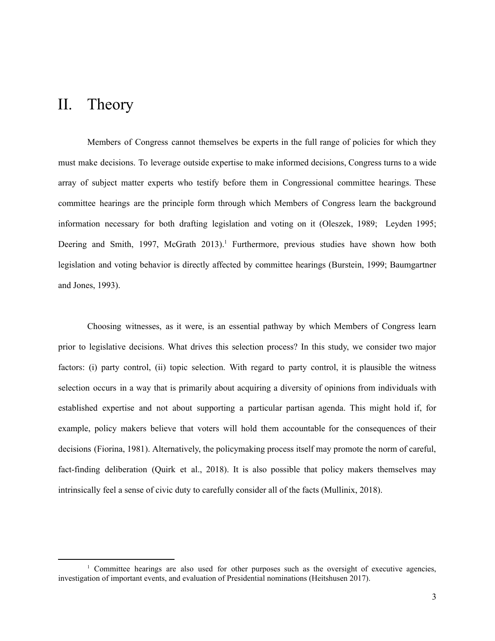## II. Theory

Members of Congress cannot themselves be experts in the full range of policies for which they must make decisions. To leverage outside expertise to make informed decisions, Congress turns to a wide array of subject matter experts who testify before them in Congressional committee hearings. These committee hearings are the principle form through which Members of Congress learn the background information necessary for both drafting legislation and voting on it (Oleszek, 1989; Leyden 1995; Deering and Smith, 1997, McGrath 2013).<sup>1</sup> Furthermore, previous studies have shown how both legislation and voting behavior is directly affected by committee hearings (Burstein, 1999; Baumgartner and Jones, 1993).

Choosing witnesses, as it were, is an essential pathway by which Members of Congress learn prior to legislative decisions. What drives this selection process? In this study, we consider two major factors: (i) party control, (ii) topic selection. With regard to party control, it is plausible the witness selection occurs in a way that is primarily about acquiring a diversity of opinions from individuals with established expertise and not about supporting a particular partisan agenda. This might hold if, for example, policy makers believe that voters will hold them accountable for the consequences of their decisions (Fiorina, 1981). Alternatively, the policymaking process itself may promote the norm of careful, fact-finding deliberation (Quirk et al., 2018). It is also possible that policy makers themselves may intrinsically feel a sense of civic duty to carefully consider all of the facts (Mullinix, 2018).

<sup>&</sup>lt;sup>1</sup> Committee hearings are also used for other purposes such as the oversight of executive agencies, investigation of important events, and evaluation of Presidential nominations (Heitshusen 2017).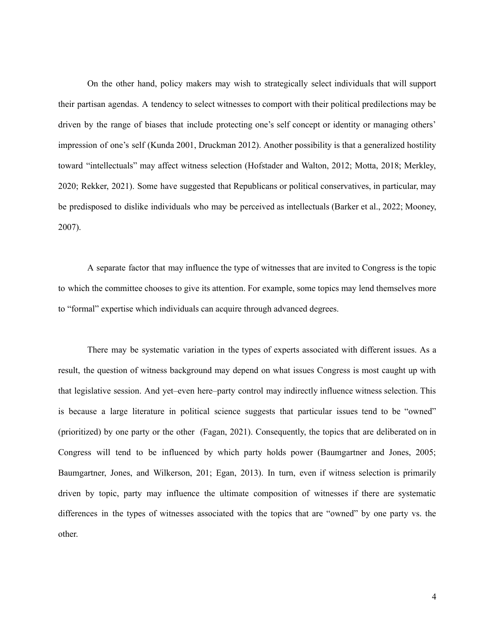On the other hand, policy makers may wish to strategically select individuals that will support their partisan agendas. A tendency to select witnesses to comport with their political predilections may be driven by the range of biases that include protecting one's self concept or identity or managing others' impression of one's self (Kunda 2001, Druckman 2012). Another possibility is that a generalized hostility toward "intellectuals" may affect witness selection (Hofstader and Walton, 2012; Motta, 2018; Merkley, 2020; Rekker, 2021). Some have suggested that Republicans or political conservatives, in particular, may be predisposed to dislike individuals who may be perceived as intellectuals (Barker et al., 2022; Mooney, 2007).

A separate factor that may influence the type of witnesses that are invited to Congress is the topic to which the committee chooses to give its attention. For example, some topics may lend themselves more to "formal" expertise which individuals can acquire through advanced degrees.

There may be systematic variation in the types of experts associated with different issues. As a result, the question of witness background may depend on what issues Congress is most caught up with that legislative session. And yet–even here–party control may indirectly influence witness selection. This is because a large literature in political science suggests that particular issues tend to be "owned" (prioritized) by one party or the other (Fagan, 2021). Consequently, the topics that are deliberated on in Congress will tend to be influenced by which party holds power (Baumgartner and Jones, 2005; Baumgartner, Jones, and Wilkerson, 201; Egan, 2013). In turn, even if witness selection is primarily driven by topic, party may influence the ultimate composition of witnesses if there are systematic differences in the types of witnesses associated with the topics that are "owned" by one party vs. the other.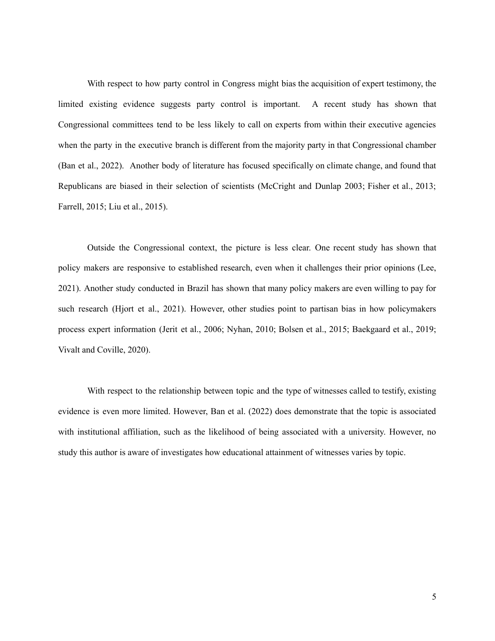With respect to how party control in Congress might bias the acquisition of expert testimony, the limited existing evidence suggests party control is important. A recent study has shown that Congressional committees tend to be less likely to call on experts from within their executive agencies when the party in the executive branch is different from the majority party in that Congressional chamber (Ban et al., 2022). Another body of literature has focused specifically on climate change, and found that Republicans are biased in their selection of scientists (McCright and Dunlap 2003; Fisher et al., 2013; Farrell, 2015; Liu et al., 2015).

Outside the Congressional context, the picture is less clear. One recent study has shown that policy makers are responsive to established research, even when it challenges their prior opinions (Lee, 2021). Another study conducted in Brazil has shown that many policy makers are even willing to pay for such research (Hjort et al., 2021). However, other studies point to partisan bias in how policymakers process expert information (Jerit et al., 2006; Nyhan, 2010; Bolsen et al., 2015; Baekgaard et al., 2019; Vivalt and Coville, 2020).

With respect to the relationship between topic and the type of witnesses called to testify, existing evidence is even more limited. However, Ban et al. (2022) does demonstrate that the topic is associated with institutional affiliation, such as the likelihood of being associated with a university. However, no study this author is aware of investigates how educational attainment of witnesses varies by topic.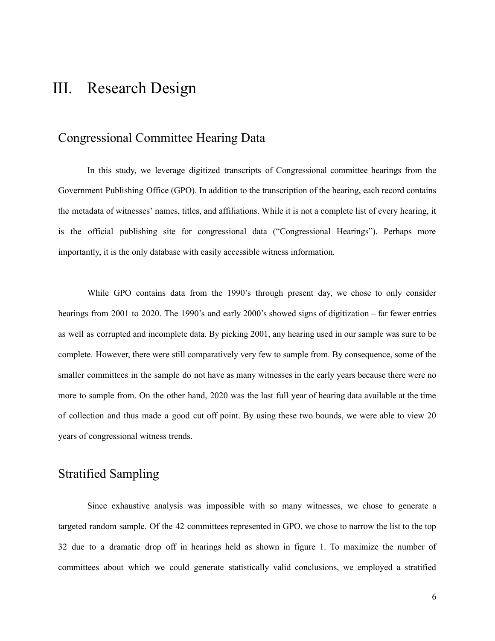## III. Research Design

#### Congressional Committee Hearing Data

In this study, we leverage digitized transcripts of Congressional committee hearings from the Government Publishing Office (GPO). In addition to the transcription of the hearing, each record contains the metadata of witnesses' names, titles, and affiliations. While it is not a complete list of every hearing, it is the official publishing site for congressional data ("Congressional Hearings"). Perhaps more importantly, it is the only database with easily accessible witness information.

While GPO contains data from the 1990's through present day, we chose to only consider hearings from 2001 to 2020. The 1990's and early 2000's showed signs of digitization – far fewer entries as well as corrupted and incomplete data. By picking 2001, any hearing used in our sample was sure to be complete. However, there were still comparatively very few to sample from. By consequence, some of the smaller committees in the sample do not have as many witnesses in the early years because there were no more to sample from. On the other hand, 2020 was the last full year of hearing data available at the time of collection and thus made a good cut off point. By using these two bounds, we were able to view 20 years of congressional witness trends.

## Stratified Sampling

Since exhaustive analysis was impossible with so many witnesses, we chose to generate a targeted random sample. Of the 42 committees represented in GPO, we chose to narrow the list to the top 32 due to a dramatic drop off in hearings held as shown in figure 1. To maximize the number of committees about which we could generate statistically valid conclusions, we employed a stratified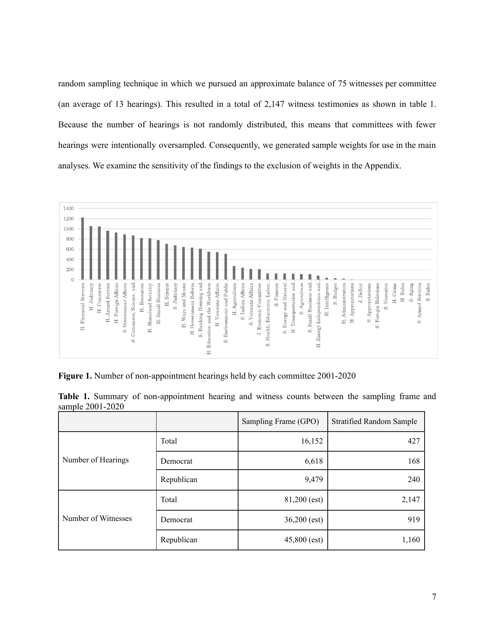random sampling technique in which we pursued an approximate balance of 75 witnesses per committee (an average of 13 hearings). This resulted in a total of 2,147 witness testimonies as shown in table 1. Because the number of hearings is not randomly distributed, this means that committees with fewer hearings were intentionally oversampled. Consequently, we generated sample weights for use in the main analyses. We examine the sensitivity of the findings to the exclusion of weights in the Appendix.



**Figure 1.** Number of non-appointment hearings held by each committee 2001-2020

|  |                  | Table 1. Summary of non-appointment hearing and witness counts between the sampling frame and |  |  |  |  |  |
|--|------------------|-----------------------------------------------------------------------------------------------|--|--|--|--|--|
|  | sample 2001-2020 |                                                                                               |  |  |  |  |  |

|                     |            | Sampling Frame (GPO) | <b>Stratified Random Sample</b> |
|---------------------|------------|----------------------|---------------------------------|
|                     | Total      | 16,152               | 427                             |
| Number of Hearings  | Democrat   | 6,618                | 168                             |
|                     | Republican | 9,479                | 240                             |
|                     | Total      | 81,200 (est)         | 2,147                           |
| Number of Witnesses | Democrat   | $36,200$ (est)       | 919                             |
|                     | Republican | $45,800$ (est)       | 1,160                           |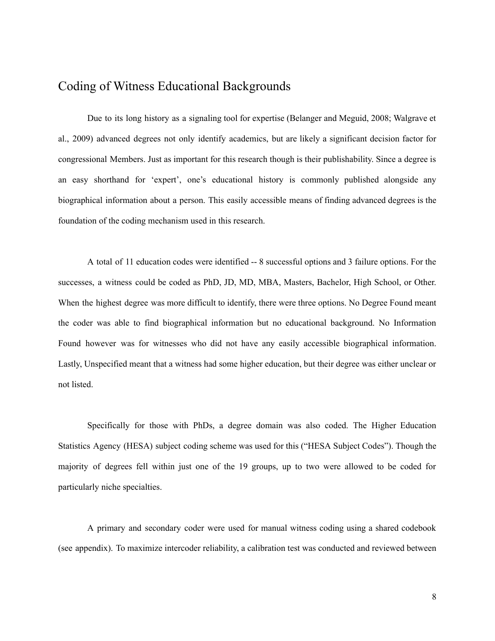## Coding of Witness Educational Backgrounds

Due to its long history as a signaling tool for expertise (Belanger and Meguid, 2008; Walgrave et al., 2009) advanced degrees not only identify academics, but are likely a significant decision factor for congressional Members. Just as important for this research though is their publishability. Since a degree is an easy shorthand for 'expert', one's educational history is commonly published alongside any biographical information about a person. This easily accessible means of finding advanced degrees is the foundation of the coding mechanism used in this research.

A total of 11 education codes were identified -- 8 successful options and 3 failure options. For the successes, a witness could be coded as PhD, JD, MD, MBA, Masters, Bachelor, High School, or Other. When the highest degree was more difficult to identify, there were three options. No Degree Found meant the coder was able to find biographical information but no educational background. No Information Found however was for witnesses who did not have any easily accessible biographical information. Lastly, Unspecified meant that a witness had some higher education, but their degree was either unclear or not listed.

Specifically for those with PhDs, a degree domain was also coded. The Higher Education Statistics Agency (HESA) subject coding scheme was used for this ("HESA Subject Codes"). Though the majority of degrees fell within just one of the 19 groups, up to two were allowed to be coded for particularly niche specialties.

A primary and secondary coder were used for manual witness coding using a shared codebook (see appendix). To maximize intercoder reliability, a calibration test was conducted and reviewed between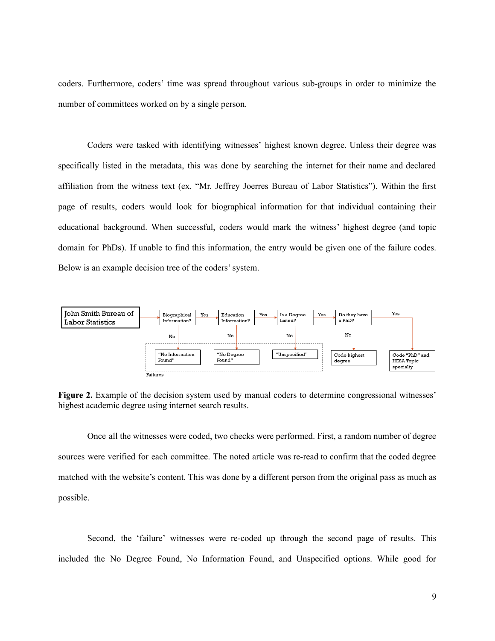coders. Furthermore, coders' time was spread throughout various sub-groups in order to minimize the number of committees worked on by a single person.

Coders were tasked with identifying witnesses' highest known degree. Unless their degree was specifically listed in the metadata, this was done by searching the internet for their name and declared affiliation from the witness text (ex. "Mr. Jeffrey Joerres Bureau of Labor Statistics"). Within the first page of results, coders would look for biographical information for that individual containing their educational background. When successful, coders would mark the witness' highest degree (and topic domain for PhDs). If unable to find this information, the entry would be given one of the failure codes. Below is an example decision tree of the coders'system.



**Figure 2.** Example of the decision system used by manual coders to determine congressional witnesses' highest academic degree using internet search results.

Once all the witnesses were coded, two checks were performed. First, a random number of degree sources were verified for each committee. The noted article was re-read to confirm that the coded degree matched with the website's content. This was done by a different person from the original pass as much as possible.

Second, the 'failure' witnesses were re-coded up through the second page of results. This included the No Degree Found, No Information Found, and Unspecified options. While good for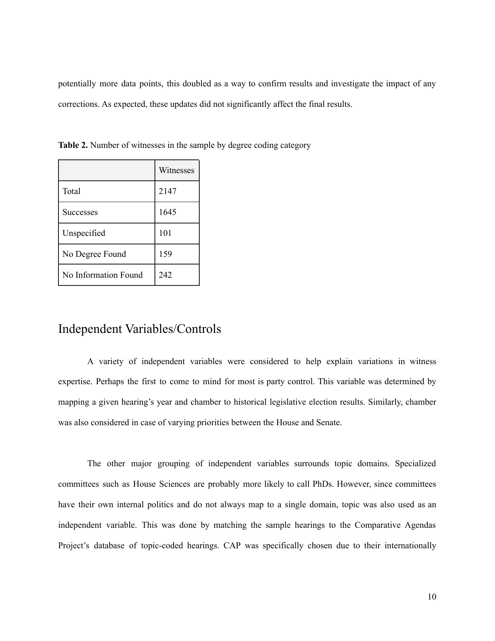potentially more data points, this doubled as a way to confirm results and investigate the impact of any corrections. As expected, these updates did not significantly affect the final results.

|                      | Witnesses |
|----------------------|-----------|
| Total                | 2147      |
| <b>Successes</b>     | 1645      |
| Unspecified          | 101       |
| No Degree Found      | 159       |
| No Information Found | 242       |

**Table 2.** Number of witnesses in the sample by degree coding category

#### Independent Variables/Controls

A variety of independent variables were considered to help explain variations in witness expertise. Perhaps the first to come to mind for most is party control. This variable was determined by mapping a given hearing's year and chamber to historical legislative election results. Similarly, chamber was also considered in case of varying priorities between the House and Senate.

The other major grouping of independent variables surrounds topic domains. Specialized committees such as House Sciences are probably more likely to call PhDs. However, since committees have their own internal politics and do not always map to a single domain, topic was also used as an independent variable. This was done by matching the sample hearings to the Comparative Agendas Project's database of topic-coded hearings. CAP was specifically chosen due to their internationally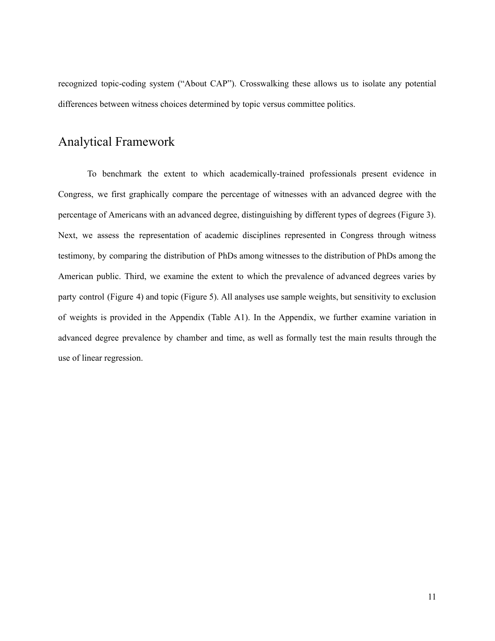recognized topic-coding system ("About CAP"). Crosswalking these allows us to isolate any potential differences between witness choices determined by topic versus committee politics.

## Analytical Framework

To benchmark the extent to which academically-trained professionals present evidence in Congress, we first graphically compare the percentage of witnesses with an advanced degree with the percentage of Americans with an advanced degree, distinguishing by different types of degrees (Figure 3). Next, we assess the representation of academic disciplines represented in Congress through witness testimony, by comparing the distribution of PhDs among witnesses to the distribution of PhDs among the American public. Third, we examine the extent to which the prevalence of advanced degrees varies by party control (Figure 4) and topic (Figure 5). All analyses use sample weights, but sensitivity to exclusion of weights is provided in the Appendix (Table A1). In the Appendix, we further examine variation in advanced degree prevalence by chamber and time, as well as formally test the main results through the use of linear regression.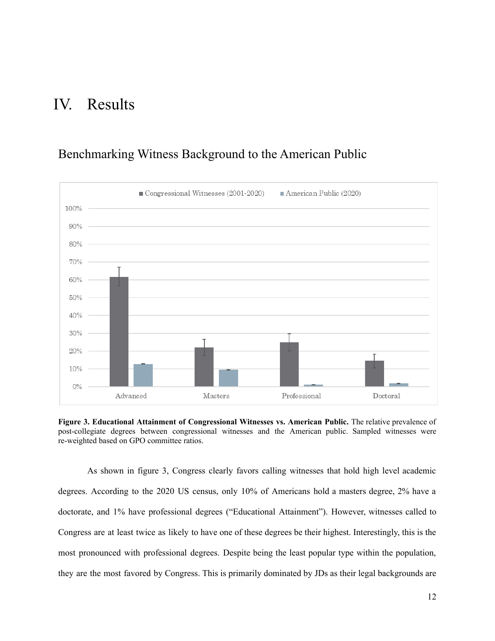# IV. Results

## $\blacksquare$  Congressional Witnesses (2001-2020) American Public (2020) 100% 90% 80% 70% 60% 50% 40%  $30%$ 20% 10%  $0\%$ Advanced Masters Professional Doctoral

## Benchmarking Witness Background to the American Public

**Figure 3. Educational Attainment of Congressional Witnesses vs. American Public.** The relative prevalence of post-collegiate degrees between congressional witnesses and the American public. Sampled witnesses were re-weighted based on GPO committee ratios.

As shown in figure 3, Congress clearly favors calling witnesses that hold high level academic degrees. According to the 2020 US census, only 10% of Americans hold a masters degree, 2% have a doctorate, and 1% have professional degrees ("Educational Attainment"). However, witnesses called to Congress are at least twice as likely to have one of these degrees be their highest. Interestingly, this is the most pronounced with professional degrees. Despite being the least popular type within the population, they are the most favored by Congress. This is primarily dominated by JDs as their legal backgrounds are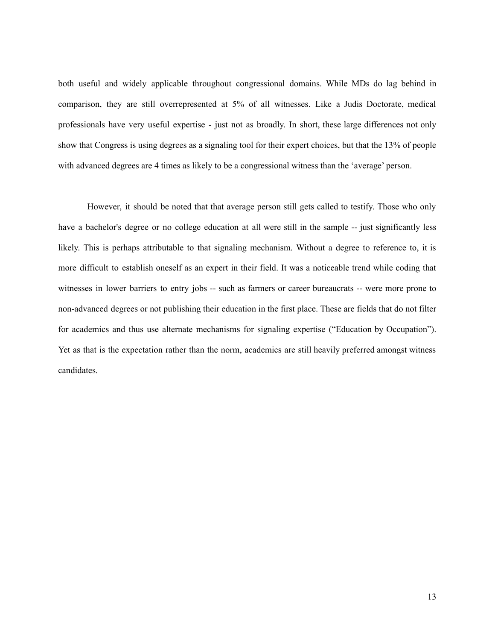both useful and widely applicable throughout congressional domains. While MDs do lag behind in comparison, they are still overrepresented at 5% of all witnesses. Like a Judis Doctorate, medical professionals have very useful expertise - just not as broadly. In short, these large differences not only show that Congress is using degrees as a signaling tool for their expert choices, but that the 13% of people with advanced degrees are 4 times as likely to be a congressional witness than the 'average' person.

However, it should be noted that that average person still gets called to testify. Those who only have a bachelor's degree or no college education at all were still in the sample -- just significantly less likely. This is perhaps attributable to that signaling mechanism. Without a degree to reference to, it is more difficult to establish oneself as an expert in their field. It was a noticeable trend while coding that witnesses in lower barriers to entry jobs -- such as farmers or career bureaucrats -- were more prone to non-advanced degrees or not publishing their education in the first place. These are fields that do not filter for academics and thus use alternate mechanisms for signaling expertise ("Education by Occupation"). Yet as that is the expectation rather than the norm, academics are still heavily preferred amongst witness candidates.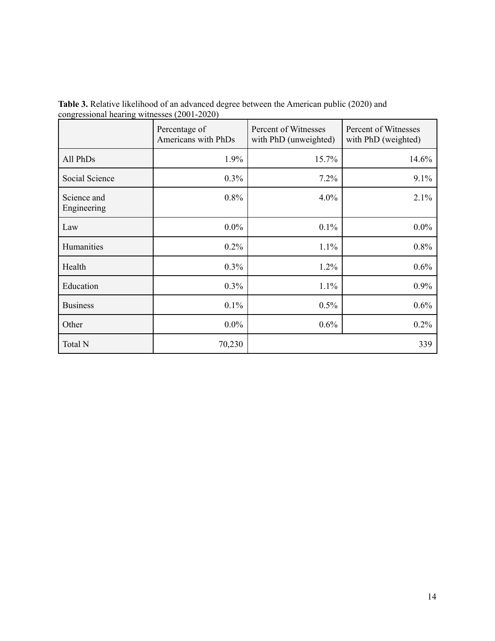|                            | Percentage of<br>Americans with PhDs | Percent of Witnesses<br>with PhD (unweighted) | Percent of Witnesses<br>with PhD (weighted) |
|----------------------------|--------------------------------------|-----------------------------------------------|---------------------------------------------|
| All PhDs                   | 1.9%                                 | 15.7%                                         | 14.6%                                       |
| Social Science             | 0.3%                                 | 7.2%                                          | 9.1%                                        |
| Science and<br>Engineering | 0.8%                                 | 4.0%                                          | 2.1%                                        |
| Law                        | $0.0\%$                              | 0.1%                                          | $0.0\%$                                     |
| Humanities                 | $0.2\%$                              | 1.1%                                          | 0.8%                                        |
| Health                     | 0.3%                                 | 1.2%                                          | 0.6%                                        |
| Education                  | 0.3%                                 | 1.1%                                          | 0.9%                                        |
| <b>Business</b>            | 0.1%                                 | 0.5%                                          | 0.6%                                        |
| Other                      | $0.0\%$                              | 0.6%                                          | 0.2%                                        |
| Total N                    | 70,230                               |                                               | 339                                         |

**Table 3.** Relative likelihood of an advanced degree between the American public (2020) and congressional hearing witnesses (2001-2020)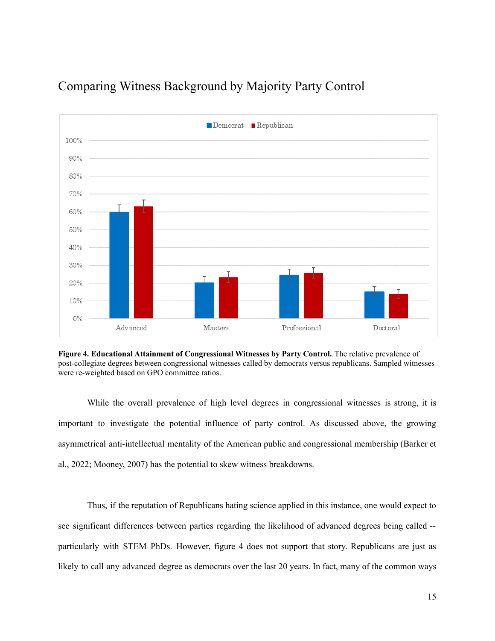

## Comparing Witness Background by Majority Party Control

**Figure 4. Educational Attainment of Congressional Witnesses by Party Control.** The relative prevalence of post-collegiate degrees between congressional witnesses called by democrats versus republicans. Sampled witnesses were re-weighted based on GPO committee ratios.

While the overall prevalence of high level degrees in congressional witnesses is strong, it is important to investigate the potential influence of party control. As discussed above, the growing asymmetrical anti-intellectual mentality of the American public and congressional membership (Barker et al., 2022; Mooney, 2007) has the potential to skew witness breakdowns.

Thus, if the reputation of Republicans hating science applied in this instance, one would expect to see significant differences between parties regarding the likelihood of advanced degrees being called - particularly with STEM PhDs. However, figure 4 does not support that story. Republicans are just as likely to call any advanced degree as democrats over the last 20 years. In fact, many of the common ways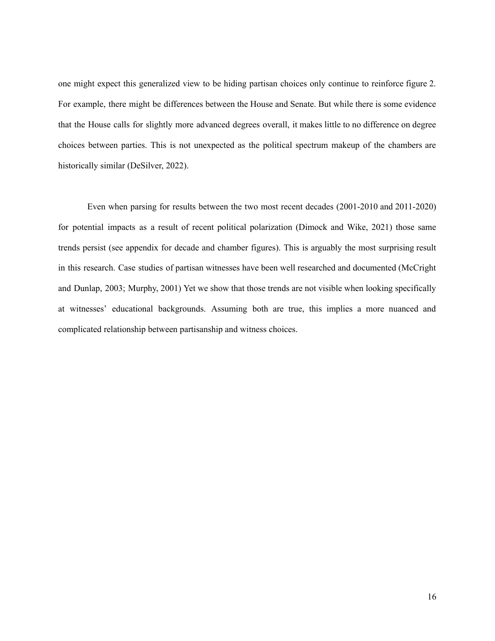one might expect this generalized view to be hiding partisan choices only continue to reinforce figure 2. For example, there might be differences between the House and Senate. But while there is some evidence that the House calls for slightly more advanced degrees overall, it makes little to no difference on degree choices between parties. This is not unexpected as the political spectrum makeup of the chambers are historically similar (DeSilver, 2022).

Even when parsing for results between the two most recent decades (2001-2010 and 2011-2020) for potential impacts as a result of recent political polarization (Dimock and Wike, 2021) those same trends persist (see appendix for decade and chamber figures). This is arguably the most surprising result in this research. Case studies of partisan witnesses have been well researched and documented (McCright and Dunlap, 2003; Murphy, 2001) Yet we show that those trends are not visible when looking specifically at witnesses' educational backgrounds. Assuming both are true, this implies a more nuanced and complicated relationship between partisanship and witness choices.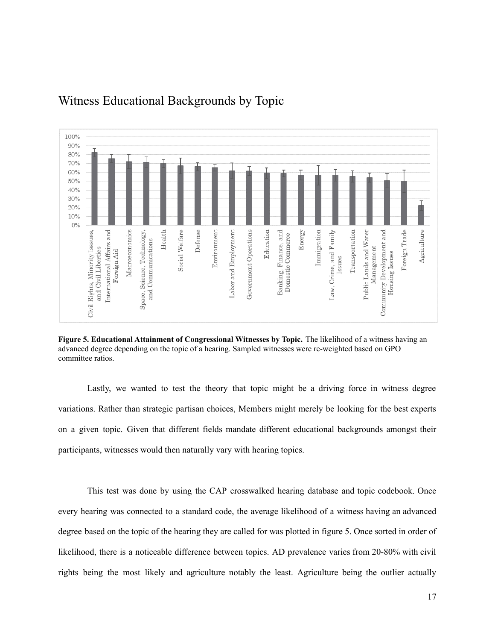

## Witness Educational Backgrounds by Topic

**Figure 5. Educational Attainment of Congressional Witnesses by Topic.** The likelihood of a witness having an advanced degree depending on the topic of a hearing. Sampled witnesses were re-weighted based on GPO committee ratios.

Lastly, we wanted to test the theory that topic might be a driving force in witness degree variations. Rather than strategic partisan choices, Members might merely be looking for the best experts on a given topic. Given that different fields mandate different educational backgrounds amongst their participants, witnesses would then naturally vary with hearing topics.

This test was done by using the CAP crosswalked hearing database and topic codebook. Once every hearing was connected to a standard code, the average likelihood of a witness having an advanced degree based on the topic of the hearing they are called for was plotted in figure 5. Once sorted in order of likelihood, there is a noticeable difference between topics. AD prevalence varies from 20-80% with civil rights being the most likely and agriculture notably the least. Agriculture being the outlier actually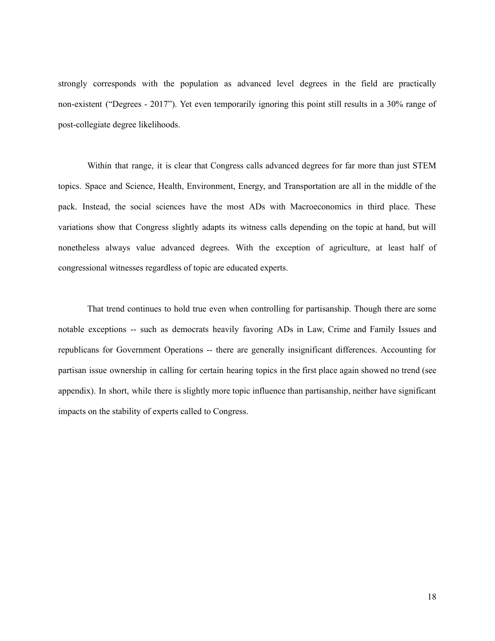strongly corresponds with the population as advanced level degrees in the field are practically non-existent ("Degrees - 2017"). Yet even temporarily ignoring this point still results in a 30% range of post-collegiate degree likelihoods.

Within that range, it is clear that Congress calls advanced degrees for far more than just STEM topics. Space and Science, Health, Environment, Energy, and Transportation are all in the middle of the pack. Instead, the social sciences have the most ADs with Macroeconomics in third place. These variations show that Congress slightly adapts its witness calls depending on the topic at hand, but will nonetheless always value advanced degrees. With the exception of agriculture, at least half of congressional witnesses regardless of topic are educated experts.

That trend continues to hold true even when controlling for partisanship. Though there are some notable exceptions -- such as democrats heavily favoring ADs in Law, Crime and Family Issues and republicans for Government Operations -- there are generally insignificant differences. Accounting for partisan issue ownership in calling for certain hearing topics in the first place again showed no trend (see appendix). In short, while there is slightly more topic influence than partisanship, neither have significant impacts on the stability of experts called to Congress.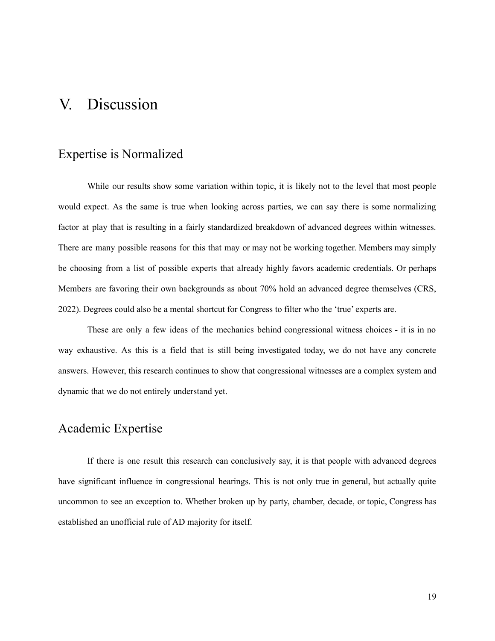## V. Discussion

#### Expertise is Normalized

While our results show some variation within topic, it is likely not to the level that most people would expect. As the same is true when looking across parties, we can say there is some normalizing factor at play that is resulting in a fairly standardized breakdown of advanced degrees within witnesses. There are many possible reasons for this that may or may not be working together. Members may simply be choosing from a list of possible experts that already highly favors academic credentials. Or perhaps Members are favoring their own backgrounds as about 70% hold an advanced degree themselves (CRS, 2022). Degrees could also be a mental shortcut for Congress to filter who the 'true' experts are.

These are only a few ideas of the mechanics behind congressional witness choices - it is in no way exhaustive. As this is a field that is still being investigated today, we do not have any concrete answers. However, this research continues to show that congressional witnesses are a complex system and dynamic that we do not entirely understand yet.

### Academic Expertise

If there is one result this research can conclusively say, it is that people with advanced degrees have significant influence in congressional hearings. This is not only true in general, but actually quite uncommon to see an exception to. Whether broken up by party, chamber, decade, or topic, Congress has established an unofficial rule of AD majority for itself.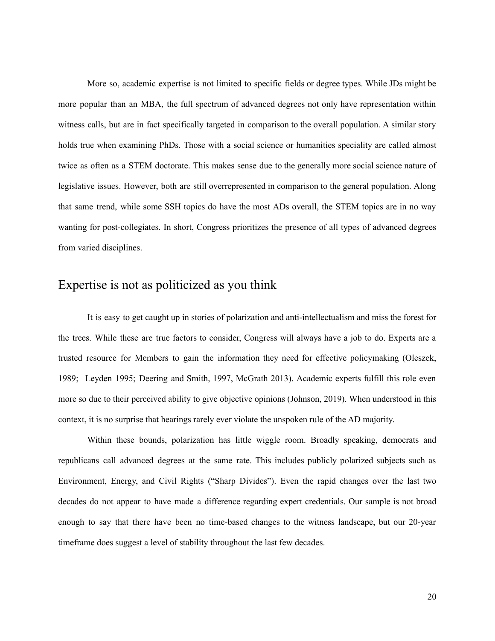More so, academic expertise is not limited to specific fields or degree types. While JDs might be more popular than an MBA, the full spectrum of advanced degrees not only have representation within witness calls, but are in fact specifically targeted in comparison to the overall population. A similar story holds true when examining PhDs. Those with a social science or humanities speciality are called almost twice as often as a STEM doctorate. This makes sense due to the generally more social science nature of legislative issues. However, both are still overrepresented in comparison to the general population. Along that same trend, while some SSH topics do have the most ADs overall, the STEM topics are in no way wanting for post-collegiates. In short, Congress prioritizes the presence of all types of advanced degrees from varied disciplines.

#### Expertise is not as politicized as you think

It is easy to get caught up in stories of polarization and anti-intellectualism and miss the forest for the trees. While these are true factors to consider, Congress will always have a job to do. Experts are a trusted resource for Members to gain the information they need for effective policymaking (Oleszek, 1989; Leyden 1995; Deering and Smith, 1997, McGrath 2013). Academic experts fulfill this role even more so due to their perceived ability to give objective opinions (Johnson, 2019). When understood in this context, it is no surprise that hearings rarely ever violate the unspoken rule of the AD majority.

Within these bounds, polarization has little wiggle room. Broadly speaking, democrats and republicans call advanced degrees at the same rate. This includes publicly polarized subjects such as Environment, Energy, and Civil Rights ("Sharp Divides"). Even the rapid changes over the last two decades do not appear to have made a difference regarding expert credentials. Our sample is not broad enough to say that there have been no time-based changes to the witness landscape, but our 20-year timeframe does suggest a level of stability throughout the last few decades.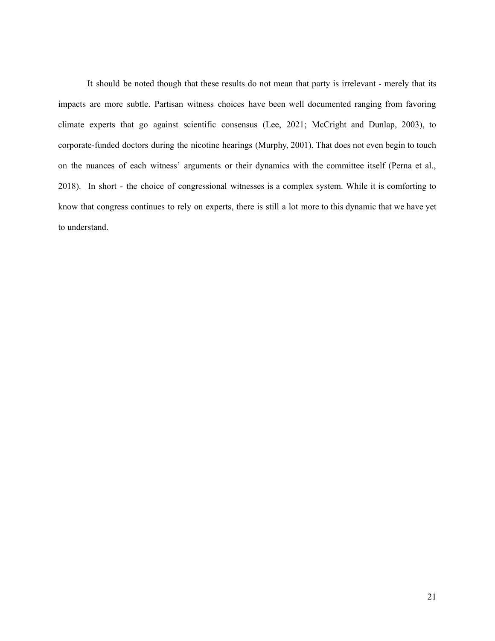It should be noted though that these results do not mean that party is irrelevant - merely that its impacts are more subtle. Partisan witness choices have been well documented ranging from favoring climate experts that go against scientific consensus (Lee, 2021; McCright and Dunlap, 2003), to corporate-funded doctors during the nicotine hearings (Murphy, 2001). That does not even begin to touch on the nuances of each witness' arguments or their dynamics with the committee itself (Perna et al., 2018). In short - the choice of congressional witnesses is a complex system. While it is comforting to know that congress continues to rely on experts, there is still a lot more to this dynamic that we have yet to understand.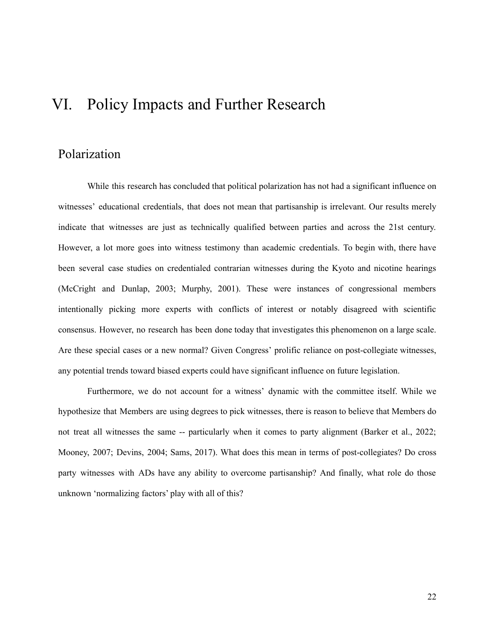# VI. Policy Impacts and Further Research

## Polarization

While this research has concluded that political polarization has not had a significant influence on witnesses' educational credentials, that does not mean that partisanship is irrelevant. Our results merely indicate that witnesses are just as technically qualified between parties and across the 21st century. However, a lot more goes into witness testimony than academic credentials. To begin with, there have been several case studies on credentialed contrarian witnesses during the Kyoto and nicotine hearings (McCright and Dunlap, 2003; Murphy, 2001). These were instances of congressional members intentionally picking more experts with conflicts of interest or notably disagreed with scientific consensus. However, no research has been done today that investigates this phenomenon on a large scale. Are these special cases or a new normal? Given Congress' prolific reliance on post-collegiate witnesses, any potential trends toward biased experts could have significant influence on future legislation.

Furthermore, we do not account for a witness' dynamic with the committee itself. While we hypothesize that Members are using degrees to pick witnesses, there is reason to believe that Members do not treat all witnesses the same -- particularly when it comes to party alignment (Barker et al., 2022; Mooney, 2007; Devins, 2004; Sams, 2017). What does this mean in terms of post-collegiates? Do cross party witnesses with ADs have any ability to overcome partisanship? And finally, what role do those unknown 'normalizing factors' play with all of this?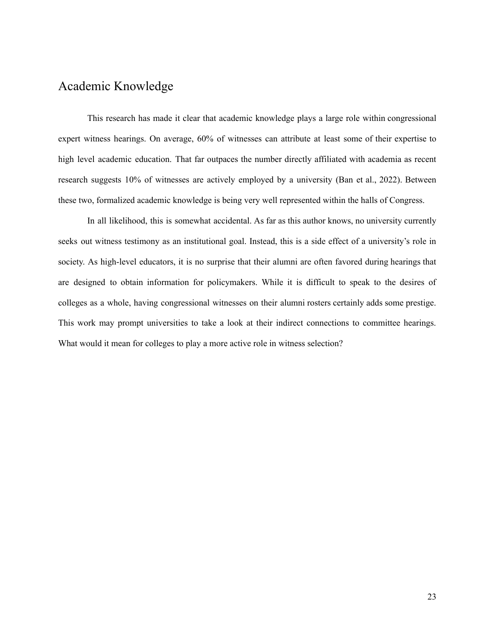## Academic Knowledge

This research has made it clear that academic knowledge plays a large role within congressional expert witness hearings. On average, 60% of witnesses can attribute at least some of their expertise to high level academic education. That far outpaces the number directly affiliated with academia as recent research suggests 10% of witnesses are actively employed by a university (Ban et al., 2022). Between these two, formalized academic knowledge is being very well represented within the halls of Congress.

In all likelihood, this is somewhat accidental. As far as this author knows, no university currently seeks out witness testimony as an institutional goal. Instead, this is a side effect of a university's role in society. As high-level educators, it is no surprise that their alumni are often favored during hearings that are designed to obtain information for policymakers. While it is difficult to speak to the desires of colleges as a whole, having congressional witnesses on their alumni rosters certainly adds some prestige. This work may prompt universities to take a look at their indirect connections to committee hearings. What would it mean for colleges to play a more active role in witness selection?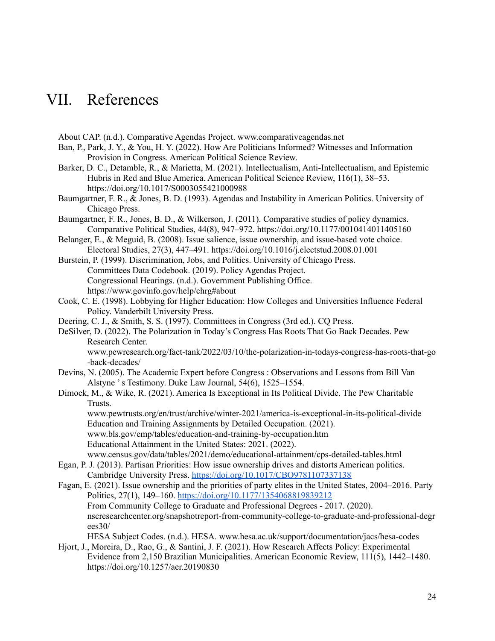# VII. References

About CAP. (n.d.). Comparative Agendas Project. www.comparativeagendas.net

- Ban, P., Park, J. Y., & You, H. Y. (2022). How Are Politicians Informed? Witnesses and Information Provision in Congress. American Political Science Review.
- Barker, D. C., Detamble, R., & Marietta, M. (2021). Intellectualism, Anti-Intellectualism, and Epistemic Hubris in Red and Blue America. American Political Science Review, 116(1), 38–53. https://doi.org/10.1017/S0003055421000988
- Baumgartner, F. R., & Jones, B. D. (1993). Agendas and Instability in American Politics. University of Chicago Press.
- Baumgartner, F. R., Jones, B. D., & Wilkerson, J. (2011). Comparative studies of policy dynamics. Comparative Political Studies, 44(8), 947–972. https://doi.org/10.1177/0010414011405160
- Belanger, E., & Meguid, B. (2008). Issue salience, issue ownership, and issue-based vote choice. Electoral Studies, 27(3), 447–491. https://doi.org/10.1016/j.electstud.2008.01.001
- Burstein, P. (1999). Discrimination, Jobs, and Politics. University of Chicago Press. Committees Data Codebook. (2019). Policy Agendas Project. Congressional Hearings. (n.d.). Government Publishing Office. https://www.govinfo.gov/help/chrg#about
- Cook, C. E. (1998). Lobbying for Higher Education: How Colleges and Universities Influence Federal Policy. Vanderbilt University Press.
- Deering, C. J., & Smith, S. S. (1997). Committees in Congress (3rd ed.). CQ Press.
- DeSilver, D. (2022). The Polarization in Today's Congress Has Roots That Go Back Decades. Pew Research Center.

www.pewresearch.org/fact-tank/2022/03/10/the-polarization-in-todays-congress-has-roots-that-go -back-decades/

- Devins, N. (2005). The Academic Expert before Congress : Observations and Lessons from Bill Van Alstyne 's Testimony. Duke Law Journal, 54(6), 1525–1554.
- Dimock, M., & Wike, R. (2021). America Is Exceptional in Its Political Divide. The Pew Charitable Trusts.

www.pewtrusts.org/en/trust/archive/winter-2021/america-is-exceptional-in-its-political-divide Education and Training Assignments by Detailed Occupation. (2021). www.bls.gov/emp/tables/education-and-training-by-occupation.htm Educational Attainment in the United States: 2021. (2022).

www.census.gov/data/tables/2021/demo/educational-attainment/cps-detailed-tables.html

- Egan, P. J. (2013). Partisan Priorities: How issue ownership drives and distorts American politics. Cambridge University Press. <https://doi.org/10.1017/CBO9781107337138>
- Fagan, E. (2021). Issue ownership and the priorities of party elites in the United States, 2004–2016. Party Politics, 27(1), 149–160. <https://doi.org/10.1177/1354068819839212> From Community College to Graduate and Professional Degrees - 2017. (2020). nscresearchcenter.org/snapshotreport-from-community-college-to-graduate-and-professional-degr ees30/

HESA Subject Codes. (n.d.). HESA. www.hesa.ac.uk/support/documentation/jacs/hesa-codes Hjort, J., Moreira, D., Rao, G., & Santini, J. F. (2021). How Research Affects Policy: Experimental

Evidence from 2,150 Brazilian Municipalities. American Economic Review, 111(5), 1442–1480. https://doi.org/10.1257/aer.20190830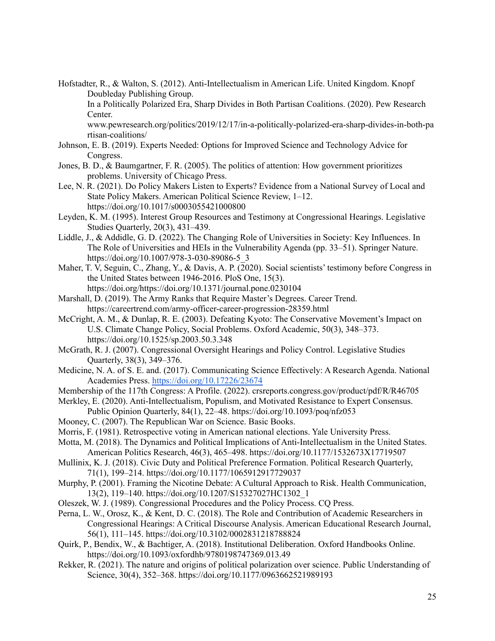Hofstadter, R., & Walton, S. (2012). Anti-Intellectualism in American Life. United Kingdom. Knopf Doubleday Publishing Group.

In a Politically Polarized Era, Sharp Divides in Both Partisan Coalitions. (2020). Pew Research Center.

www.pewresearch.org/politics/2019/12/17/in-a-politically-polarized-era-sharp-divides-in-both-pa rtisan-coalitions/

- Johnson, E. B. (2019). Experts Needed: Options for Improved Science and Technology Advice for Congress.
- Jones, B. D., & Baumgartner, F. R. (2005). The politics of attention: How government prioritizes problems. University of Chicago Press.
- Lee, N. R. (2021). Do Policy Makers Listen to Experts? Evidence from a National Survey of Local and State Policy Makers. American Political Science Review, 1–12. https://doi.org/10.1017/s0003055421000800
- Leyden, K. M. (1995). Interest Group Resources and Testimony at Congressional Hearings. Legislative Studies Quarterly, 20(3), 431–439.
- Liddle, J., & Addidle, G. D. (2022). The Changing Role of Universities in Society: Key Influences. In The Role of Universities and HEIs in the Vulnerability Agenda (pp. 33–51). Springer Nature. https://doi.org/10.1007/978-3-030-89086-5\_3
- Maher, T. V, Seguin, C., Zhang, Y., & Davis, A. P. (2020). Social scientists' testimony before Congress in the United States between 1946-2016. PloS One, 15(3). https://doi.org/https://doi.org/10.1371/journal.pone.0230104
- Marshall, D. (2019). The Army Ranks that Require Master's Degrees. Career Trend. https://careertrend.com/army-officer-career-progression-28359.html
- McCright, A. M., & Dunlap, R. E. (2003). Defeating Kyoto: The Conservative Movement's Impact on U.S. Climate Change Policy, Social Problems. Oxford Academic, 50(3), 348–373. https://doi.org/10.1525/sp.2003.50.3.348
- McGrath, R. J. (2007). Congressional Oversight Hearings and Policy Control. Legislative Studies Quarterly, 38(3), 349–376.
- Medicine, N. A. of S. E. and. (2017). Communicating Science Effectively: A Research Agenda. National Academies Press. <https://doi.org/10.17226/23674>
- Membership of the 117th Congress: A Profile. (2022). crsreports.congress.gov/product/pdf/R/R46705
- Merkley, E. (2020). Anti-Intellectualism, Populism, and Motivated Resistance to Expert Consensus. Public Opinion Quarterly, 84(1), 22–48. https://doi.org/10.1093/poq/nfz053
- Mooney, C. (2007). The Republican War on Science. Basic Books.
- Morris, F. (1981). Retrospective voting in American national elections. Yale University Press.
- Motta, M. (2018). The Dynamics and Political Implications of Anti-Intellectualism in the United States. American Politics Research, 46(3), 465–498. https://doi.org/10.1177/1532673X17719507
- Mullinix, K. J. (2018). Civic Duty and Political Preference Formation. Political Research Quarterly, 71(1), 199–214. https://doi.org/10.1177/1065912917729037
- Murphy, P. (2001). Framing the Nicotine Debate: A Cultural Approach to Risk. Health Communication, 13(2), 119–140. https://doi.org/10.1207/S15327027HC1302\_1
- Oleszek, W. J. (1989). Congressional Procedures and the Policy Process. CQ Press.
- Perna, L. W., Orosz, K., & Kent, D. C. (2018). The Role and Contribution of Academic Researchers in Congressional Hearings: A Critical Discourse Analysis. American Educational Research Journal, 56(1), 111–145. https://doi.org/10.3102/0002831218788824
- Quirk, P., Bendix, W., & Bachtiger, A. (2018). Institutional Deliberation. Oxford Handbooks Online. https://doi.org/10.1093/oxfordhb/9780198747369.013.49
- Rekker, R. (2021). The nature and origins of political polarization over science. Public Understanding of Science, 30(4), 352–368. https://doi.org/10.1177/0963662521989193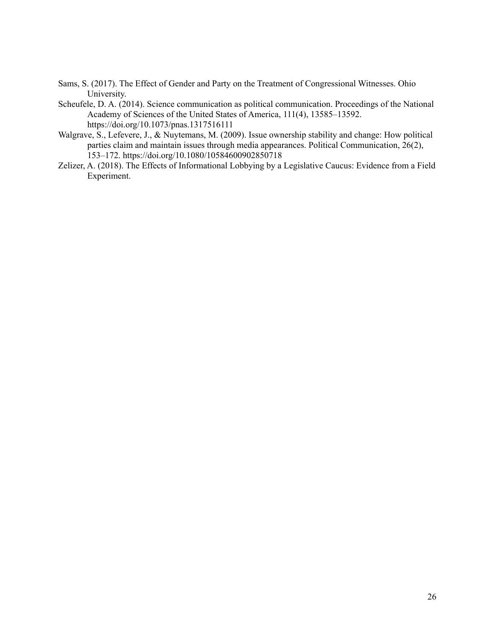- Sams, S. (2017). The Effect of Gender and Party on the Treatment of Congressional Witnesses. Ohio University.
- Scheufele, D. A. (2014). Science communication as political communication. Proceedings of the National Academy of Sciences of the United States of America, 111(4), 13585–13592. https://doi.org/10.1073/pnas.1317516111
- Walgrave, S., Lefevere, J., & Nuytemans, M. (2009). Issue ownership stability and change: How political parties claim and maintain issues through media appearances. Political Communication, 26(2), 153–172. https://doi.org/10.1080/10584600902850718
- Zelizer, A. (2018). The Effects of Informational Lobbying by a Legislative Caucus: Evidence from a Field Experiment.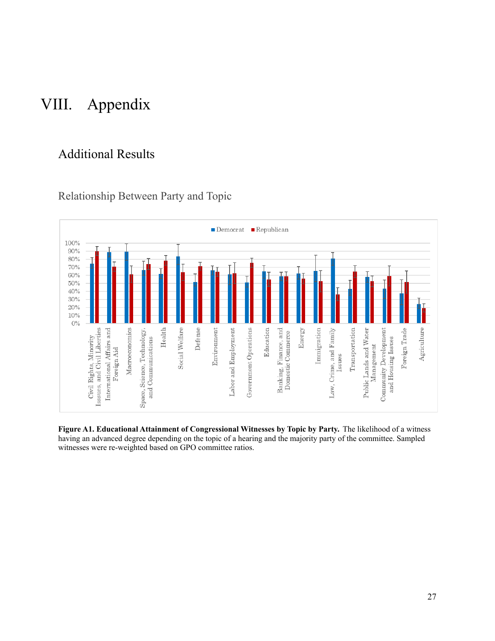# VIII. Appendix

## Additional Results



Relationship Between Party and Topic

**Figure A1. Educational Attainment of Congressional Witnesses by Topic by Party.** The likelihood of a witness having an advanced degree depending on the topic of a hearing and the majority party of the committee. Sampled witnesses were re-weighted based on GPO committee ratios.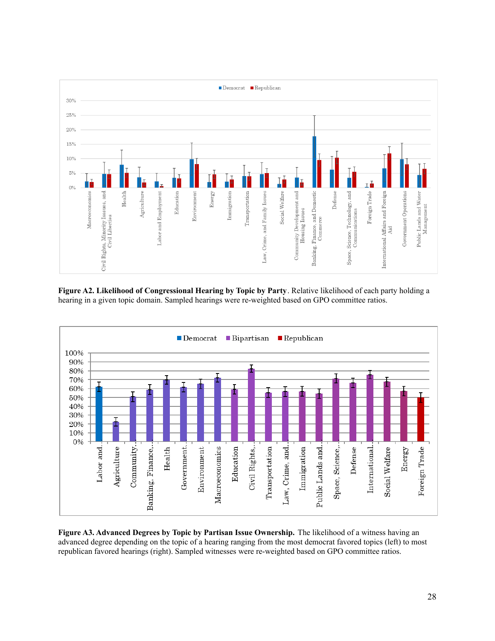

**Figure A2. Likelihood of Congressional Hearing by Topic by Party**. Relative likelihood of each party holding a hearing in a given topic domain. Sampled hearings were re-weighted based on GPO committee ratios.



**Figure A3. Advanced Degrees by Topic by Partisan Issue Ownership.** The likelihood of a witness having an advanced degree depending on the topic of a hearing ranging from the most democrat favored topics (left) to most republican favored hearings (right). Sampled witnesses were re-weighted based on GPO committee ratios.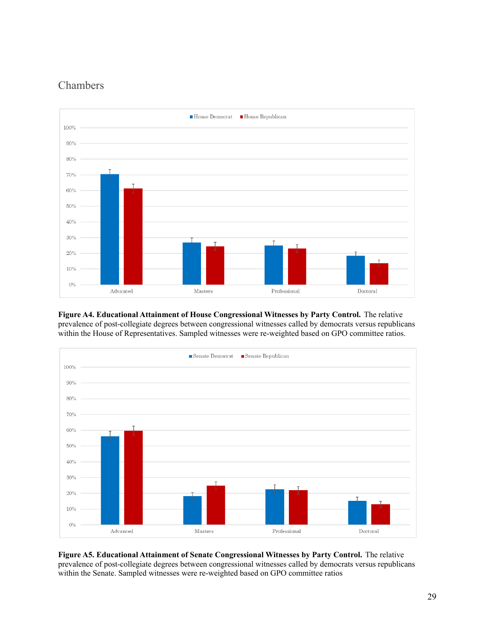## Chambers



**Figure A4. Educational Attainment of House Congressional Witnesses by Party Control.** The relative prevalence of post-collegiate degrees between congressional witnesses called by democrats versus republicans within the House of Representatives. Sampled witnesses were re-weighted based on GPO committee ratios.



**Figure A5. Educational Attainment of Senate Congressional Witnesses by Party Control.** The relative prevalence of post-collegiate degrees between congressional witnesses called by democrats versus republicans within the Senate. Sampled witnesses were re-weighted based on GPO committee ratios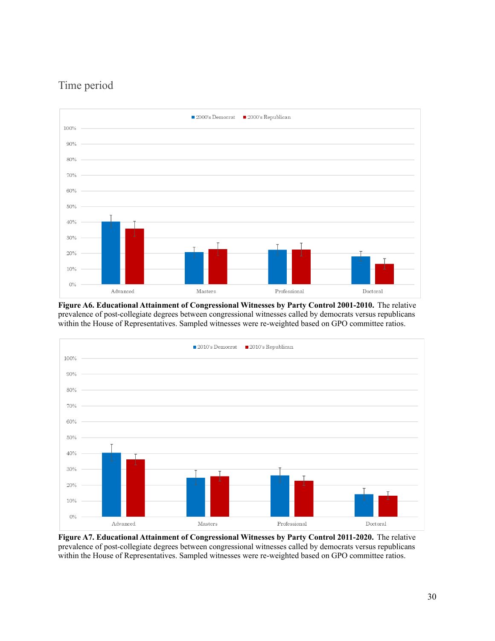## Time period



**Figure A6. Educational Attainment of Congressional Witnesses by Party Control 2001-2010.** The relative prevalence of post-collegiate degrees between congressional witnesses called by democrats versus republicans within the House of Representatives. Sampled witnesses were re-weighted based on GPO committee ratios.



**Figure A7. Educational Attainment of Congressional Witnesses by Party Control 2011-2020.** The relative prevalence of post-collegiate degrees between congressional witnesses called by democrats versus republicans within the House of Representatives. Sampled witnesses were re-weighted based on GPO committee ratios.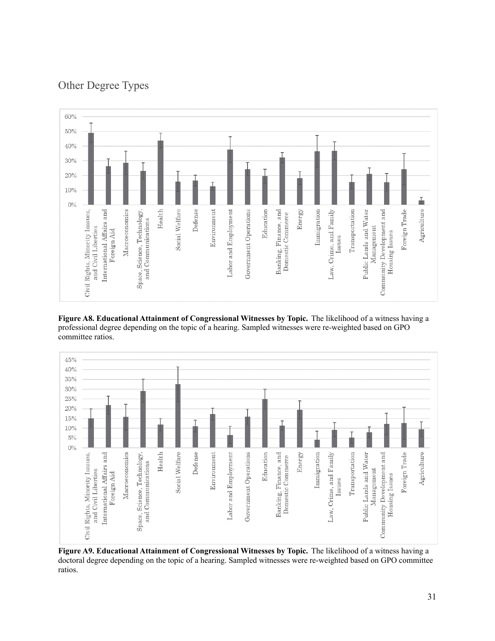

Other Degree Types

**Figure A8. Educational Attainment of Congressional Witnesses by Topic.** The likelihood of a witness having a professional degree depending on the topic of a hearing. Sampled witnesses were re-weighted based on GPO committee ratios.



**Figure A9. Educational Attainment of Congressional Witnesses by Topic.** The likelihood of a witness having a doctoral degree depending on the topic of a hearing. Sampled witnesses were re-weighted based on GPO committee ratios.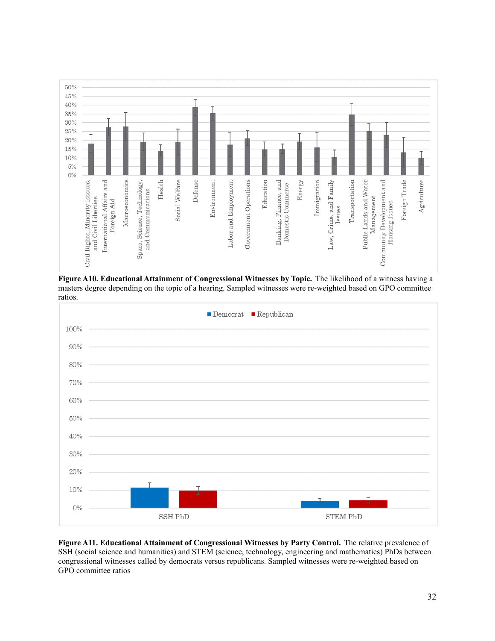

**Figure A10. Educational Attainment of Congressional Witnesses by Topic.** The likelihood of a witness having a masters degree depending on the topic of a hearing. Sampled witnesses were re-weighted based on GPO committee ratios.



**Figure A11. Educational Attainment of Congressional Witnesses by Party Control.** The relative prevalence of SSH (social science and humanities) and STEM (science, technology, engineering and mathematics) PhDs between congressional witnesses called by democrats versus republicans. Sampled witnesses were re-weighted based on GPO committee ratios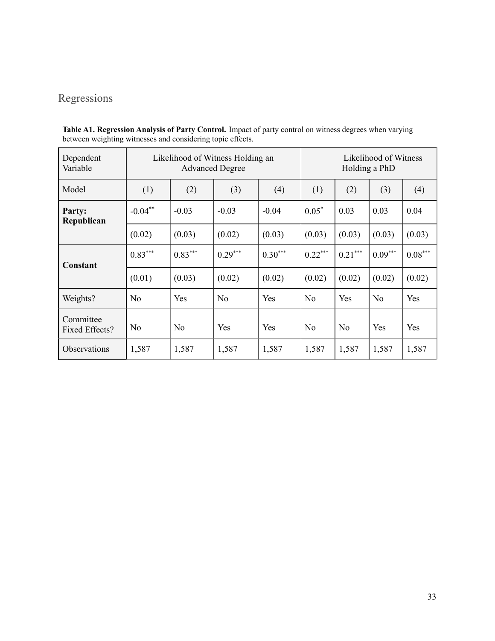## Regressions

| Dependent<br>Variable       | Likelihood of Witness Holding an | Likelihood of Witness<br>Holding a PhD |                |           |                |                |                |                       |
|-----------------------------|----------------------------------|----------------------------------------|----------------|-----------|----------------|----------------|----------------|-----------------------|
| Model                       | (1)                              | (2)                                    | (3)            | (4)       | (1)            | (2)            | (3)            | (4)                   |
| Party:<br>Republican        | $-0.04***$                       | $-0.03$                                | $-0.03$        | $-0.04$   | $0.05*$        | 0.03           | 0.03           | 0.04                  |
|                             | (0.02)                           | (0.03)                                 | (0.02)         | (0.03)    | (0.03)         | (0.03)         | (0.03)         | (0.03)                |
| Constant                    | $0.83***$                        | $0.83***$                              | $0.29***$      | $0.30***$ | $0.22***$      | $0.21***$      | $0.09***$      | $0.08^{\ast\ast\ast}$ |
|                             | (0.01)                           | (0.03)                                 | (0.02)         | (0.02)    | (0.02)         | (0.02)         | (0.02)         | (0.02)                |
| Weights?                    | N <sub>o</sub>                   | Yes                                    | N <sub>0</sub> | Yes       | N <sub>o</sub> | Yes            | N <sub>o</sub> | Yes                   |
| Committee<br>Fixed Effects? | N <sub>0</sub>                   | N <sub>0</sub>                         | Yes            | Yes       | N <sub>o</sub> | N <sub>o</sub> | Yes            | Yes                   |
| <b>Observations</b>         | 1,587                            | 1,587                                  | 1,587          | 1,587     | 1,587          | 1,587          | 1,587          | 1,587                 |

**Table A1. Regression Analysis of Party Control.** Impact of party control on witness degrees when varying between weighting witnesses and considering topic effects.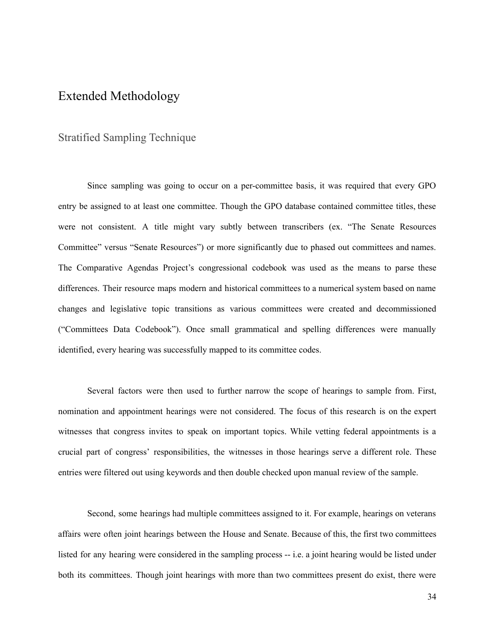### Extended Methodology

#### Stratified Sampling Technique

Since sampling was going to occur on a per-committee basis, it was required that every GPO entry be assigned to at least one committee. Though the GPO database contained committee titles, these were not consistent. A title might vary subtly between transcribers (ex. "The Senate Resources Committee" versus "Senate Resources") or more significantly due to phased out committees and names. The Comparative Agendas Project's congressional codebook was used as the means to parse these differences. Their resource maps modern and historical committees to a numerical system based on name changes and legislative topic transitions as various committees were created and decommissioned ("Committees Data Codebook"). Once small grammatical and spelling differences were manually identified, every hearing was successfully mapped to its committee codes.

Several factors were then used to further narrow the scope of hearings to sample from. First, nomination and appointment hearings were not considered. The focus of this research is on the expert witnesses that congress invites to speak on important topics. While vetting federal appointments is a crucial part of congress' responsibilities, the witnesses in those hearings serve a different role. These entries were filtered out using keywords and then double checked upon manual review of the sample.

Second, some hearings had multiple committees assigned to it. For example, hearings on veterans affairs were often joint hearings between the House and Senate. Because of this, the first two committees listed for any hearing were considered in the sampling process -- i.e. a joint hearing would be listed under both its committees. Though joint hearings with more than two committees present do exist, there were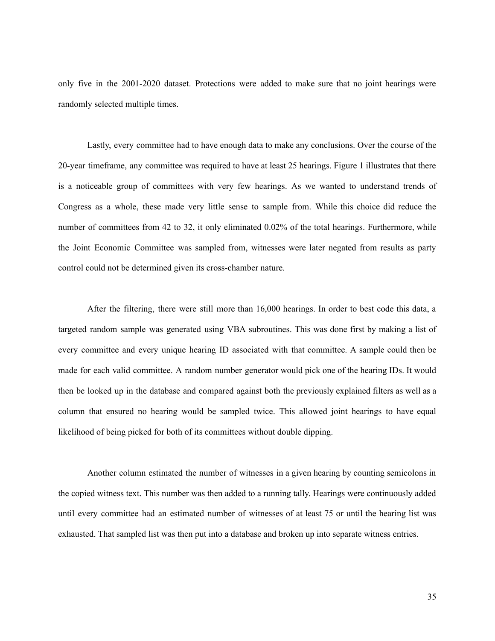only five in the 2001-2020 dataset. Protections were added to make sure that no joint hearings were randomly selected multiple times.

Lastly, every committee had to have enough data to make any conclusions. Over the course of the 20-year timeframe, any committee was required to have at least 25 hearings. Figure 1 illustrates that there is a noticeable group of committees with very few hearings. As we wanted to understand trends of Congress as a whole, these made very little sense to sample from. While this choice did reduce the number of committees from 42 to 32, it only eliminated 0.02% of the total hearings. Furthermore, while the Joint Economic Committee was sampled from, witnesses were later negated from results as party control could not be determined given its cross-chamber nature.

After the filtering, there were still more than 16,000 hearings. In order to best code this data, a targeted random sample was generated using VBA subroutines. This was done first by making a list of every committee and every unique hearing ID associated with that committee. A sample could then be made for each valid committee. A random number generator would pick one of the hearing IDs. It would then be looked up in the database and compared against both the previously explained filters as well as a column that ensured no hearing would be sampled twice. This allowed joint hearings to have equal likelihood of being picked for both of its committees without double dipping.

Another column estimated the number of witnesses in a given hearing by counting semicolons in the copied witness text. This number was then added to a running tally. Hearings were continuously added until every committee had an estimated number of witnesses of at least 75 or until the hearing list was exhausted. That sampled list was then put into a database and broken up into separate witness entries.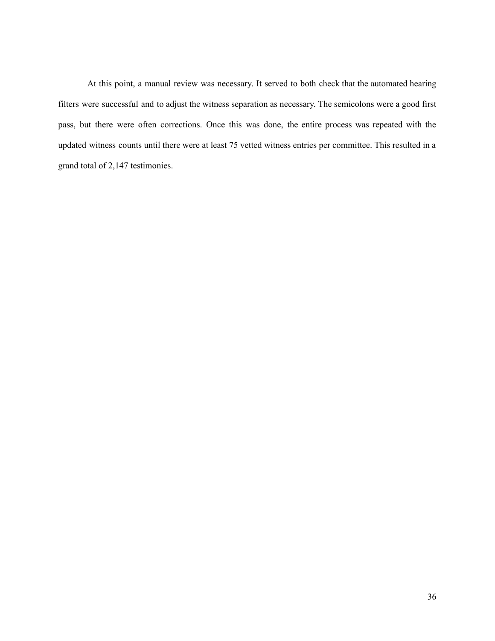At this point, a manual review was necessary. It served to both check that the automated hearing filters were successful and to adjust the witness separation as necessary. The semicolons were a good first pass, but there were often corrections. Once this was done, the entire process was repeated with the updated witness counts until there were at least 75 vetted witness entries per committee. This resulted in a grand total of 2,147 testimonies.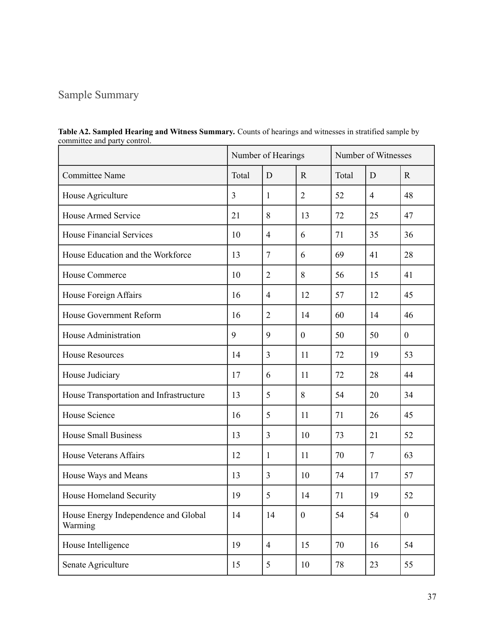## Sample Summary

|                                                 |    | Number of Hearings |                  |       | Number of Witnesses |                  |  |
|-------------------------------------------------|----|--------------------|------------------|-------|---------------------|------------------|--|
| <b>Committee Name</b>                           |    | D                  | $\mathbf R$      | Total | D                   | $\mathbf R$      |  |
| House Agriculture                               | 3  | $\mathbf{1}$       | $\overline{2}$   | 52    | $\overline{4}$      | 48               |  |
| <b>House Armed Service</b>                      | 21 | 8                  | 13               | 72    | 25                  | 47               |  |
| <b>House Financial Services</b>                 | 10 | $\overline{4}$     | 6                | 71    | 35                  | 36               |  |
| House Education and the Workforce               | 13 | $\tau$             | 6                | 69    | 41                  | 28               |  |
| House Commerce                                  | 10 | $\overline{2}$     | 8                | 56    | 15                  | 41               |  |
| House Foreign Affairs                           | 16 | 4                  | 12               | 57    | 12                  | 45               |  |
| House Government Reform                         | 16 | $\overline{2}$     | 14               | 60    | 14                  | 46               |  |
| House Administration                            | 9  | 9                  | $\mathbf{0}$     | 50    | 50                  | $\mathbf{0}$     |  |
| <b>House Resources</b>                          | 14 | 3                  | 11               | 72    | 19                  | 53               |  |
| House Judiciary                                 | 17 | 6                  | 11               | 72    | 28                  | 44               |  |
| House Transportation and Infrastructure         | 13 | 5                  | 8                | 54    | 20                  | 34               |  |
| House Science                                   | 16 | 5                  | 11               | 71    | 26                  | 45               |  |
| <b>House Small Business</b>                     | 13 | 3                  | 10               | 73    | 21                  | 52               |  |
| <b>House Veterans Affairs</b>                   | 12 | 1                  | 11               | 70    | $\overline{7}$      | 63               |  |
| House Ways and Means                            | 13 | 3                  | 10               | 74    | 17                  | 57               |  |
| House Homeland Security                         | 19 | 5                  | 14               | 71    | 19                  | 52               |  |
| House Energy Independence and Global<br>Warming | 14 | 14                 | $\boldsymbol{0}$ | 54    | 54                  | $\boldsymbol{0}$ |  |
| House Intelligence                              | 19 | $\overline{4}$     | 15               | 70    | 16                  | 54               |  |
| Senate Agriculture                              | 15 | 5                  | 10               | 78    | 23                  | 55               |  |

**Table A2. Sampled Hearing and Witness Summary.** Counts of hearings and witnesses in stratified sample by committee and party control.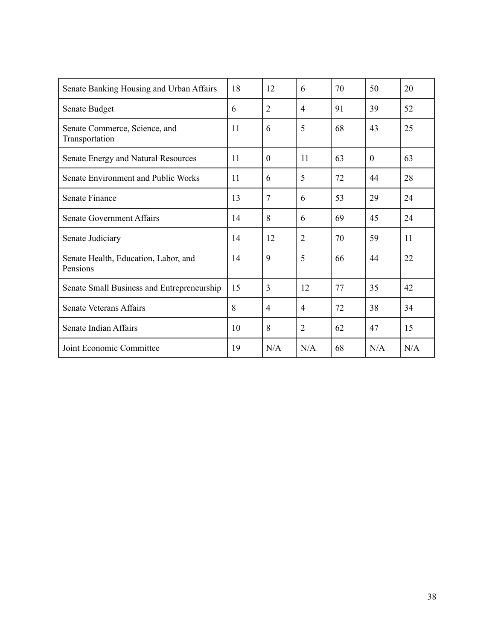| Senate Banking Housing and Urban Affairs         | 18 | 12             | 6              | 70 | 50       | 20  |
|--------------------------------------------------|----|----------------|----------------|----|----------|-----|
| Senate Budget                                    | 6  | $\overline{2}$ | 4              | 91 | 39       | 52  |
| Senate Commerce, Science, and<br>Transportation  | 11 | 6              | 5              | 68 | 43       | 25  |
| Senate Energy and Natural Resources              | 11 | $\Omega$       | 11             | 63 | $\Omega$ | 63  |
| Senate Environment and Public Works              | 11 | 6              | 5              | 72 | 44       | 28  |
| <b>Senate Finance</b>                            | 13 | 7              | 6              | 53 | 29       | 24  |
| Senate Government Affairs                        | 14 | 8              | 6              | 69 | 45       | 24  |
| Senate Judiciary                                 | 14 | 12             | $\overline{2}$ | 70 | 59       | 11  |
| Senate Health, Education, Labor, and<br>Pensions | 14 | 9              | 5              | 66 | 44       | 22  |
| Senate Small Business and Entrepreneurship       | 15 | $\overline{3}$ | 12             | 77 | 35       | 42  |
| <b>Senate Veterans Affairs</b>                   | 8  | 4              | 4              | 72 | 38       | 34  |
| Senate Indian Affairs                            | 10 | 8              | $\overline{2}$ | 62 | 47       | 15  |
| Joint Economic Committee                         | 19 | N/A            | N/A            | 68 | N/A      | N/A |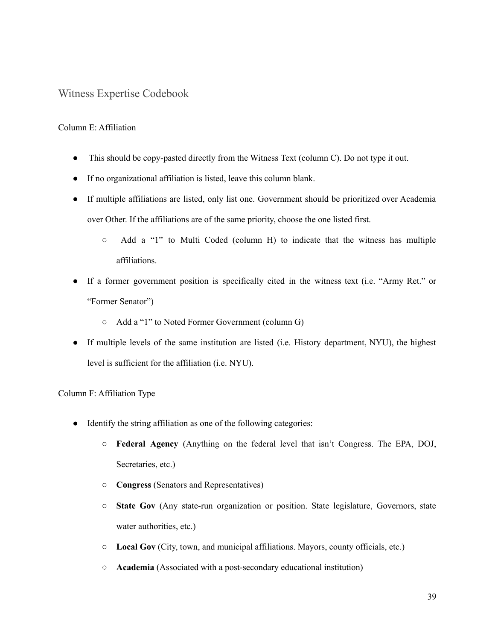#### Witness Expertise Codebook

#### Column E: Affiliation

- This should be copy-pasted directly from the Witness Text (column C). Do not type it out.
- If no organizational affiliation is listed, leave this column blank.
- If multiple affiliations are listed, only list one. Government should be prioritized over Academia over Other. If the affiliations are of the same priority, choose the one listed first.
	- Add a "1" to Multi Coded (column H) to indicate that the witness has multiple affiliations.
- If a former government position is specifically cited in the witness text (i.e. "Army Ret." or "Former Senator")
	- Add a "1" to Noted Former Government (column G)
- If multiple levels of the same institution are listed (i.e. History department, NYU), the highest level is sufficient for the affiliation (i.e. NYU).

#### Column F: Affiliation Type

- Identify the string affiliation as one of the following categories:
	- **Federal Agency** (Anything on the federal level that isn't Congress. The EPA, DOJ, Secretaries, etc.)
	- **Congress** (Senators and Representatives)
	- **State Gov** (Any state-run organization or position. State legislature, Governors, state water authorities, etc.)
	- **Local Gov** (City, town, and municipal affiliations. Mayors, county officials, etc.)
	- **Academia** (Associated with a post-secondary educational institution)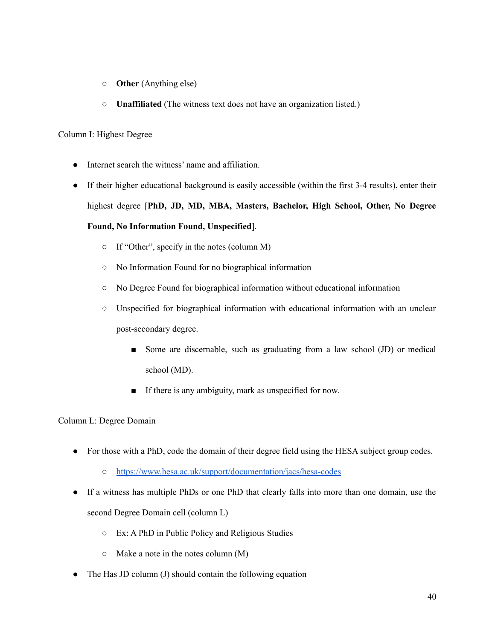- **Other** (Anything else)
- **Unaffiliated** (The witness text does not have an organization listed.)

#### Column I: Highest Degree

- Internet search the witness' name and affiliation.
- If their higher educational background is easily accessible (within the first 3-4 results), enter their highest degree [**PhD, JD, MD, MBA, Masters, Bachelor, High School, Other, No Degree Found, No Information Found, Unspecified**].
	- If "Other", specify in the notes (column M)
	- No Information Found for no biographical information
	- No Degree Found for biographical information without educational information
	- Unspecified for biographical information with educational information with an unclear post-secondary degree.
		- Some are discernable, such as graduating from a law school (JD) or medical school (MD).
		- If there is any ambiguity, mark as unspecified for now.

#### Column L: Degree Domain

- For those with a PhD, code the domain of their degree field using the HESA subject group codes.
	- <https://www.hesa.ac.uk/support/documentation/jacs/hesa-codes>
- If a witness has multiple PhDs or one PhD that clearly falls into more than one domain, use the second Degree Domain cell (column L)
	- Ex: A PhD in Public Policy and Religious Studies
	- $\circ$  Make a note in the notes column (M)
- The Has JD column (J) should contain the following equation